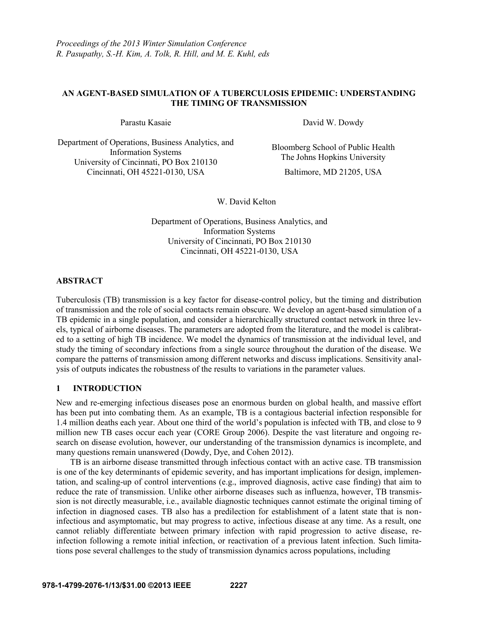# **AN AGENT-BASED SIMULATION OF A TUBERCULOSIS EPIDEMIC: UNDERSTANDING THE TIMING OF TRANSMISSION**

Department of Operations, Business Analytics, and Information Systems University of Cincinnati, PO Box 210130 Cincinnati, OH 45221-0130, USA Baltimore, MD 21205, USA

Parastu Kasaie David W. Dowdy

Bloomberg School of Public Health The Johns Hopkins University

W. David Kelton

Department of Operations, Business Analytics, and Information Systems University of Cincinnati, PO Box 210130 Cincinnati, OH 45221-0130, USA

## **ABSTRACT**

Tuberculosis (TB) transmission is a key factor for disease-control policy, but the timing and distribution of transmission and the role of social contacts remain obscure. We develop an agent-based simulation of a TB epidemic in a single population, and consider a hierarchically structured contact network in three levels, typical of airborne diseases. The parameters are adopted from the literature, and the model is calibrated to a setting of high TB incidence. We model the dynamics of transmission at the individual level, and study the timing of secondary infections from a single source throughout the duration of the disease. We compare the patterns of transmission among different networks and discuss implications. Sensitivity analysis of outputs indicates the robustness of the results to variations in the parameter values.

# **1 INTRODUCTION**

New and re-emerging infectious diseases pose an enormous burden on global health, and massive effort has been put into combating them. As an example, TB is a contagious bacterial infection responsible for 1.4 million deaths each year. About one third of the world's population is infected with TB, and close to 9 million new TB cases occur each year (CORE Group 2006). Despite the vast literature and ongoing research on disease evolution, however, our understanding of the transmission dynamics is incomplete, and many questions remain unanswered (Dowdy, Dye, and Cohen 2012).

 TB is an airborne disease transmitted through infectious contact with an active case. TB transmission is one of the key determinants of epidemic severity, and has important implications for design, implementation, and scaling-up of control interventions (e.g., improved diagnosis, active case finding) that aim to reduce the rate of transmission. Unlike other airborne diseases such as influenza, however, TB transmission is not directly measurable, i.e., available diagnostic techniques cannot estimate the original timing of infection in diagnosed cases. TB also has a predilection for establishment of a latent state that is noninfectious and asymptomatic, but may progress to active, infectious disease at any time. As a result, one cannot reliably differentiate between primary infection with rapid progression to active disease, reinfection following a remote initial infection, or reactivation of a previous latent infection. Such limitations pose several challenges to the study of transmission dynamics across populations, including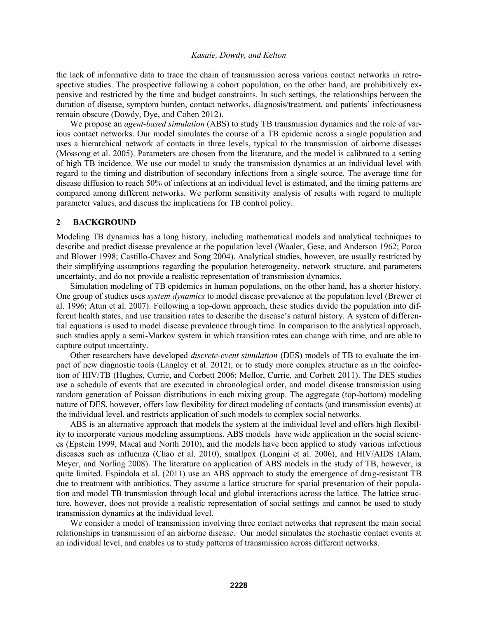the lack of informative data to trace the chain of transmission across various contact networks in retrospective studies. The prospective following a cohort population, on the other hand, are prohibitively expensive and restricted by the time and budget constraints. In such settings, the relationships between the duration of disease, symptom burden, contact networks, diagnosis/treatment, and patients' infectiousness remain obscure (Dowdy, Dye, and Cohen 2012).

We propose an *agent-based simulation* (ABS) to study TB transmission dynamics and the role of various contact networks. Our model simulates the course of a TB epidemic across a single population and uses a hierarchical network of contacts in three levels, typical to the transmission of airborne diseases (Mossong et al. 2005). Parameters are chosen from the literature, and the model is calibrated to a setting of high TB incidence. We use our model to study the transmission dynamics at an individual level with regard to the timing and distribution of secondary infections from a single source. The average time for disease diffusion to reach 50% of infections at an individual level is estimated, and the timing patterns are compared among different networks. We perform sensitivity analysis of results with regard to multiple parameter values, and discuss the implications for TB control policy.

#### **2 BACKGROUND**

Modeling TB dynamics has a long history, including mathematical models and analytical techniques to describe and predict disease prevalence at the population level (Waaler, Gese, and Anderson 1962; Porco and Blower 1998; Castillo-Chavez and Song 2004). Analytical studies, however, are usually restricted by their simplifying assumptions regarding the population heterogeneity, network structure, and parameters uncertainty, and do not provide a realistic representation of transmission dynamics.

 Simulation modeling of TB epidemics in human populations, on the other hand, has a shorter history. One group of studies uses *system dynamics* to model disease prevalence at the population level (Brewer et al. 1996; Atun et al. 2007). Following a top-down approach, these studies divide the population into different health states, and use transition rates to describe the disease's natural history. A system of differential equations is used to model disease prevalence through time. In comparison to the analytical approach, such studies apply a semi-Markov system in which transition rates can change with time, and are able to capture output uncertainty.

 Other researchers have developed *discrete-event simulation* (DES) models of TB to evaluate the impact of new diagnostic tools (Langley et al. 2012), or to study more complex structure as in the coinfection of HIV/TB (Hughes, Currie, and Corbett 2006; Mellor, Currie, and Corbett 2011). The DES studies use a schedule of events that are executed in chronological order, and model disease transmission using random generation of Poisson distributions in each mixing group. The aggregate (top-bottom) modeling nature of DES, however, offers low flexibility for direct modeling of contacts (and transmission events) at the individual level, and restricts application of such models to complex social networks.

 ABS is an alternative approach that models the system at the individual level and offers high flexibility to incorporate various modeling assumptions. ABS models have wide application in the social sciences (Epstein 1999, Macal and North 2010), and the models have been applied to study various infectious diseases such as influenza (Chao et al. 2010), smallpox (Longini et al. 2006), and HIV/AIDS (Alam, Meyer, and Norling 2008). The literature on application of ABS models in the study of TB, however, is quite limited. Espindola et al. (2011) use an ABS approach to study the emergence of drug-resistant TB due to treatment with antibiotics. They assume a lattice structure for spatial presentation of their population and model TB transmission through local and global interactions across the lattice. The lattice structure, however, does not provide a realistic representation of social settings and cannot be used to study transmission dynamics at the individual level.

 We consider a model of transmission involving three contact networks that represent the main social relationships in transmission of an airborne disease. Our model simulates the stochastic contact events at an individual level, and enables us to study patterns of transmission across different networks.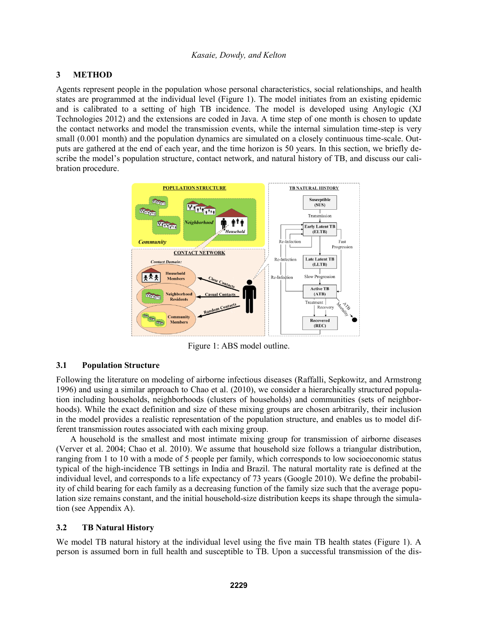# **3 METHOD**

Agents represent people in the population whose personal characteristics, social relationships, and health states are programmed at the individual level (Figure 1). The model initiates from an existing epidemic and is calibrated to a setting of high TB incidence. The model is developed using Anylogic (XJ Technologies 2012) and the extensions are coded in Java. A time step of one month is chosen to update the contact networks and model the transmission events, while the internal simulation time-step is very small (0.001 month) and the population dynamics are simulated on a closely continuous time-scale. Outputs are gathered at the end of each year, and the time horizon is 50 years. In this section, we briefly describe the model's population structure, contact network, and natural history of TB, and discuss our calibration procedure.



Figure 1: ABS model outline.

# **3.1 Population Structure**

Following the literature on modeling of airborne infectious diseases (Raffalli, Sepkowitz, and Armstrong 1996) and using a similar approach to Chao et al. (2010), we consider a hierarchically structured population including households, neighborhoods (clusters of households) and communities (sets of neighborhoods). While the exact definition and size of these mixing groups are chosen arbitrarily, their inclusion in the model provides a realistic representation of the population structure, and enables us to model different transmission routes associated with each mixing group.

 A household is the smallest and most intimate mixing group for transmission of airborne diseases (Verver et al. 2004; Chao et al. 2010). We assume that household size follows a triangular distribution, ranging from 1 to 10 with a mode of 5 people per family, which corresponds to low socioeconomic status typical of the high-incidence TB settings in India and Brazil. The natural mortality rate is defined at the individual level, and corresponds to a life expectancy of 73 years (Google 2010). We define the probability of child bearing for each family as a decreasing function of the family size such that the average population size remains constant, and the initial household-size distribution keeps its shape through the simulation (see Appendix A).

# **3.2 TB Natural History**

We model TB natural history at the individual level using the five main TB health states (Figure 1). A person is assumed born in full health and susceptible to TB. Upon a successful transmission of the dis-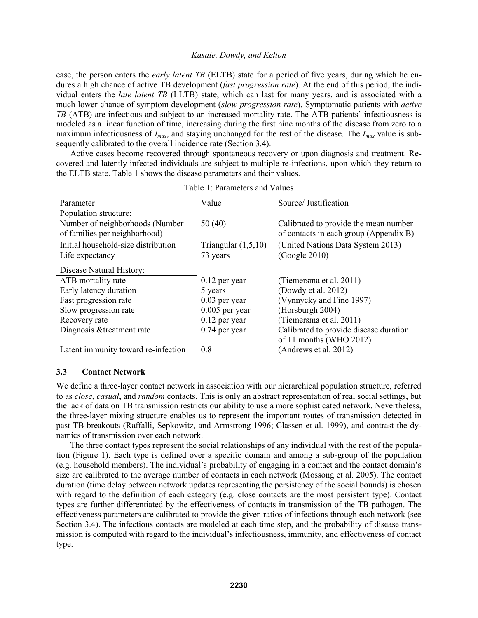ease, the person enters the *early latent TB* (ELTB) state for a period of five years, during which he endures a high chance of active TB development (*fast progression rate*). At the end of this period, the individual enters the *late latent TB* (LLTB) state, which can last for many years, and is associated with a much lower chance of symptom development (*slow progression rate*). Symptomatic patients with *active TB* (ATB) are infectious and subject to an increased mortality rate. The ATB patients' infectiousness is modeled as a linear function of time, increasing during the first nine months of the disease from zero to a maximum infectiousness of *Imax*, and staying unchanged for the rest of the disease. The *Imax* value is subsequently calibrated to the overall incidence rate (Section 3.4).

Active cases become recovered through spontaneous recovery or upon diagnosis and treatment. Recovered and latently infected individuals are subject to multiple re-infections, upon which they return to the ELTB state. Table 1 shows the disease parameters and their values.

| Parameter                                                        | Value                 | Source/ Justification                                                           |  |
|------------------------------------------------------------------|-----------------------|---------------------------------------------------------------------------------|--|
| Population structure:                                            |                       |                                                                                 |  |
| Number of neighborhoods (Number<br>of families per neighborhood) | 50(40)                | Calibrated to provide the mean number<br>of contacts in each group (Appendix B) |  |
| Initial household-size distribution                              | Triangular $(1,5,10)$ | (United Nations Data System 2013)                                               |  |
| Life expectancy                                                  | 73 years              | (Google 2010)                                                                   |  |
| Disease Natural History:                                         |                       |                                                                                 |  |
| ATB mortality rate                                               | $0.12$ per year       | (Tiemersma et al. 2011)                                                         |  |
| Early latency duration                                           | 5 years               | (Dowdy et al. 2012)                                                             |  |
| Fast progression rate                                            | $0.03$ per year       | (Vynnycky and Fine 1997)                                                        |  |
| Slow progression rate                                            | $0.005$ per year      | (Horsburgh 2004)                                                                |  |
| Recovery rate                                                    | $0.12$ per year       | (Tiemersma et al. 2011)                                                         |  |
| Diagnosis & treatment rate                                       | $0.74$ per year       | Calibrated to provide disease duration<br>of 11 months (WHO 2012)               |  |
| Latent immunity toward re-infection                              | 0.8                   | (Andrews et al. 2012)                                                           |  |

Table 1: Parameters and Values

# **3.3 Contact Network**

We define a three-layer contact network in association with our hierarchical population structure, referred to as *close*, *casual*, and *random* contacts. This is only an abstract representation of real social settings, but the lack of data on TB transmission restricts our ability to use a more sophisticated network. Nevertheless, the three-layer mixing structure enables us to represent the important routes of transmission detected in past TB breakouts (Raffalli, Sepkowitz, and Armstrong 1996; Classen et al. 1999), and contrast the dynamics of transmission over each network.

 The three contact types represent the social relationships of any individual with the rest of the population (Figure 1). Each type is defined over a specific domain and among a sub-group of the population (e.g. household members). The individual's probability of engaging in a contact and the contact domain's size are calibrated to the average number of contacts in each network (Mossong et al. 2005). The contact duration (time delay between network updates representing the persistency of the social bounds) is chosen with regard to the definition of each category (e.g. close contacts are the most persistent type). Contact types are further differentiated by the effectiveness of contacts in transmission of the TB pathogen. The effectiveness parameters are calibrated to provide the given ratios of infections through each network (see Section 3.4). The infectious contacts are modeled at each time step, and the probability of disease transmission is computed with regard to the individual's infectiousness, immunity, and effectiveness of contact type.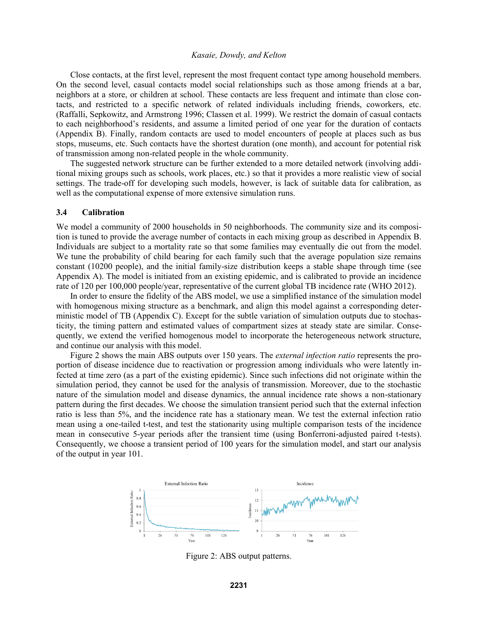Close contacts, at the first level, represent the most frequent contact type among household members. On the second level, casual contacts model social relationships such as those among friends at a bar, neighbors at a store, or children at school. These contacts are less frequent and intimate than close contacts, and restricted to a specific network of related individuals including friends, coworkers, etc. (Raffalli, Sepkowitz, and Armstrong 1996; Classen et al. 1999). We restrict the domain of casual contacts to each neighborhood's residents, and assume a limited period of one year for the duration of contacts (Appendix B). Finally, random contacts are used to model encounters of people at places such as bus stops, museums, etc. Such contacts have the shortest duration (one month), and account for potential risk of transmission among non-related people in the whole community.

 The suggested network structure can be further extended to a more detailed network (involving additional mixing groups such as schools, work places, etc.) so that it provides a more realistic view of social settings. The trade-off for developing such models, however, is lack of suitable data for calibration, as well as the computational expense of more extensive simulation runs.

#### **3.4 Calibration**

We model a community of 2000 households in 50 neighborhoods. The community size and its composition is tuned to provide the average number of contacts in each mixing group as described in Appendix B. Individuals are subject to a mortality rate so that some families may eventually die out from the model. We tune the probability of child bearing for each family such that the average population size remains constant (10200 people), and the initial family-size distribution keeps a stable shape through time (see Appendix A). The model is initiated from an existing epidemic, and is calibrated to provide an incidence rate of 120 per 100,000 people/year, representative of the current global TB incidence rate (WHO 2012).

 In order to ensure the fidelity of the ABS model, we use a simplified instance of the simulation model with homogenous mixing structure as a benchmark, and align this model against a corresponding deterministic model of TB (Appendix C). Except for the subtle variation of simulation outputs due to stochasticity, the timing pattern and estimated values of compartment sizes at steady state are similar. Consequently, we extend the verified homogenous model to incorporate the heterogeneous network structure, and continue our analysis with this model.

 Figure 2 shows the main ABS outputs over 150 years. The *external infection ratio* represents the proportion of disease incidence due to reactivation or progression among individuals who were latently infected at time zero (as a part of the existing epidemic). Since such infections did not originate within the simulation period, they cannot be used for the analysis of transmission. Moreover, due to the stochastic nature of the simulation model and disease dynamics, the annual incidence rate shows a non-stationary pattern during the first decades. We choose the simulation transient period such that the external infection ratio is less than 5%, and the incidence rate has a stationary mean. We test the external infection ratio mean using a one-tailed t-test, and test the stationarity using multiple comparison tests of the incidence mean in consecutive 5-year periods after the transient time (using Bonferroni-adjusted paired t-tests). Consequently, we choose a transient period of 100 years for the simulation model, and start our analysis of the output in year 101.



Figure 2: ABS output patterns.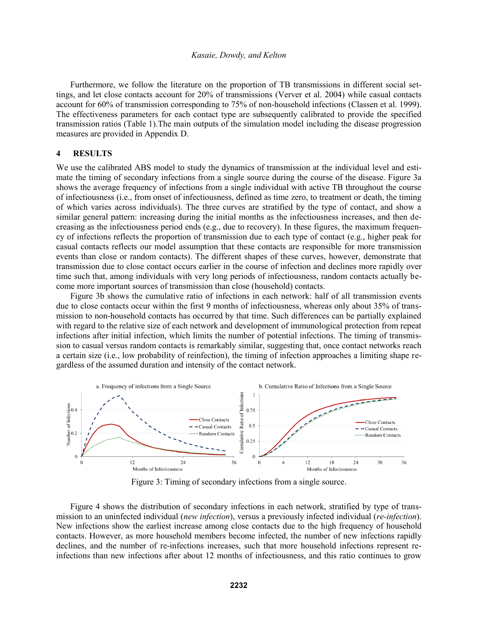Furthermore, we follow the literature on the proportion of TB transmissions in different social settings, and let close contacts account for 20% of transmissions (Verver et al. 2004) while casual contacts account for 60% of transmission corresponding to 75% of non-household infections (Classen et al. 1999). The effectiveness parameters for each contact type are subsequently calibrated to provide the specified transmission ratios (Table 1).The main outputs of the simulation model including the disease progression measures are provided in Appendix D.

### **4 RESULTS**

We use the calibrated ABS model to study the dynamics of transmission at the individual level and estimate the timing of secondary infections from a single source during the course of the disease. Figure 3a shows the average frequency of infections from a single individual with active TB throughout the course of infectiousness (i.e., from onset of infectiousness, defined as time zero, to treatment or death, the timing of which varies across individuals). The three curves are stratified by the type of contact, and show a similar general pattern: increasing during the initial months as the infectiousness increases, and then decreasing as the infectiousness period ends (e.g., due to recovery). In these figures, the maximum frequency of infections reflects the proportion of transmission due to each type of contact (e.g., higher peak for casual contacts reflects our model assumption that these contacts are responsible for more transmission events than close or random contacts). The different shapes of these curves, however, demonstrate that transmission due to close contact occurs earlier in the course of infection and declines more rapidly over time such that, among individuals with very long periods of infectiousness, random contacts actually become more important sources of transmission than close (household) contacts.

 Figure 3b shows the cumulative ratio of infections in each network: half of all transmission events due to close contacts occur within the first 9 months of infectiousness, whereas only about 35% of transmission to non-household contacts has occurred by that time. Such differences can be partially explained with regard to the relative size of each network and development of immunological protection from repeat infections after initial infection, which limits the number of potential infections. The timing of transmission to casual versus random contacts is remarkably similar, suggesting that, once contact networks reach a certain size (i.e., low probability of reinfection), the timing of infection approaches a limiting shape regardless of the assumed duration and intensity of the contact network.



Figure 3: Timing of secondary infections from a single source.

 Figure 4 shows the distribution of secondary infections in each network, stratified by type of transmission to an uninfected individual (*new infection*), versus a previously infected individual (*re-infection*). New infections show the earliest increase among close contacts due to the high frequency of household contacts. However, as more household members become infected, the number of new infections rapidly declines, and the number of re-infections increases, such that more household infections represent reinfections than new infections after about 12 months of infectiousness, and this ratio continues to grow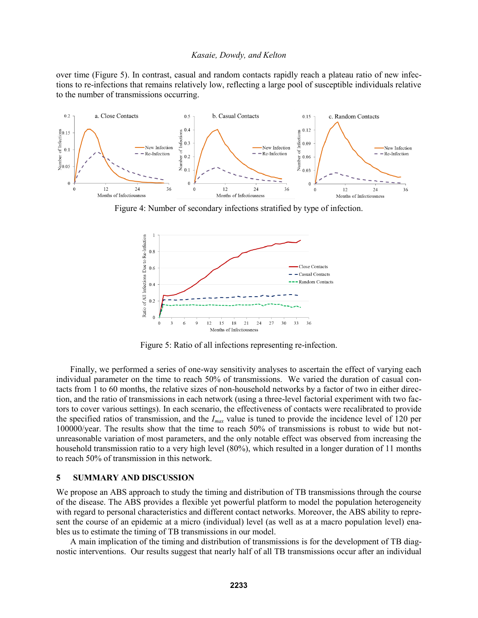over time (Figure 5). In contrast, casual and random contacts rapidly reach a plateau ratio of new infections to re-infections that remains relatively low, reflecting a large pool of susceptible individuals relative to the number of transmissions occurring.



Figure 4: Number of secondary infections stratified by type of infection.



Figure 5: Ratio of all infections representing re-infection.

 Finally, we performed a series of one-way sensitivity analyses to ascertain the effect of varying each individual parameter on the time to reach 50% of transmissions. We varied the duration of casual contacts from 1 to 60 months, the relative sizes of non-household networks by a factor of two in either direction, and the ratio of transmissions in each network (using a three-level factorial experiment with two factors to cover various settings). In each scenario, the effectiveness of contacts were recalibrated to provide the specified ratios of transmission, and the *Imax* value is tuned to provide the incidence level of 120 per 100000/year. The results show that the time to reach 50% of transmissions is robust to wide but notunreasonable variation of most parameters, and the only notable effect was observed from increasing the household transmission ratio to a very high level (80%), which resulted in a longer duration of 11 months to reach 50% of transmission in this network.

### **5 SUMMARY AND DISCUSSION**

We propose an ABS approach to study the timing and distribution of TB transmissions through the course of the disease. The ABS provides a flexible yet powerful platform to model the population heterogeneity with regard to personal characteristics and different contact networks. Moreover, the ABS ability to represent the course of an epidemic at a micro (individual) level (as well as at a macro population level) enables us to estimate the timing of TB transmissions in our model.

 A main implication of the timing and distribution of transmissions is for the development of TB diagnostic interventions. Our results suggest that nearly half of all TB transmissions occur after an individual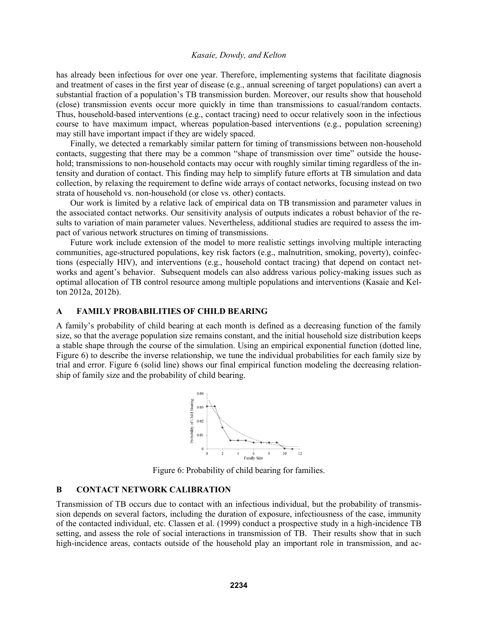has already been infectious for over one year. Therefore, implementing systems that facilitate diagnosis and treatment of cases in the first year of disease (e.g., annual screening of target populations) can avert a substantial fraction of a population's TB transmission burden. Moreover, our results show that household (close) transmission events occur more quickly in time than transmissions to casual/random contacts. Thus, household-based interventions (e.g., contact tracing) need to occur relatively soon in the infectious course to have maximum impact, whereas population-based interventions (e.g., population screening) may still have important impact if they are widely spaced.

 Finally, we detected a remarkably similar pattern for timing of transmissions between non-household contacts, suggesting that there may be a common "shape of transmission over time" outside the household; transmissions to non-household contacts may occur with roughly similar timing regardless of the intensity and duration of contact. This finding may help to simplify future efforts at TB simulation and data collection, by relaxing the requirement to define wide arrays of contact networks, focusing instead on two strata of household vs. non-household (or close vs. other) contacts.

Our work is limited by a relative lack of empirical data on TB transmission and parameter values in the associated contact networks. Our sensitivity analysis of outputs indicates a robust behavior of the results to variation of main parameter values. Nevertheless, additional studies are required to assess the impact of various network structures on timing of transmissions.

 Future work include extension of the model to more realistic settings involving multiple interacting communities, age-structured populations, key risk factors (e.g., malnutrition, smoking, poverty), coinfections (especially HIV), and interventions (e.g., household contact tracing) that depend on contact networks and agent's behavior. Subsequent models can also address various policy-making issues such as optimal allocation of TB control resource among multiple populations and interventions (Kasaie and Kelton 2012a, 2012b).

#### **A FAMILY PROBABILITIES OF CHILD BEARING**

A family's probability of child bearing at each month is defined as a decreasing function of the family size, so that the average population size remains constant, and the initial household size distribution keeps a stable shape through the course of the simulation. Using an empirical exponential function (dotted line, Figure 6) to describe the inverse relationship, we tune the individual probabilities for each family size by trial and error. Figure 6 (solid line) shows our final empirical function modeling the decreasing relationship of family size and the probability of child bearing.



Figure 6: Probability of child bearing for families.

# **B CONTACT NETWORK CALIBRATION**

Transmission of TB occurs due to contact with an infectious individual, but the probability of transmission depends on several factors, including the duration of exposure, infectiousness of the case, immunity of the contacted individual, etc. Classen et al. (1999) conduct a prospective study in a high-incidence TB setting, and assess the role of social interactions in transmission of TB. Their results show that in such high-incidence areas, contacts outside of the household play an important role in transmission, and ac-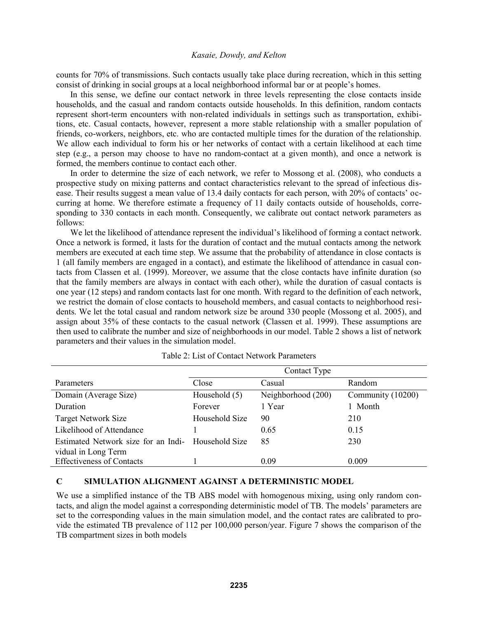counts for 70% of transmissions. Such contacts usually take place during recreation, which in this setting consist of drinking in social groups at a local neighborhood informal bar or at people's homes.

 In this sense, we define our contact network in three levels representing the close contacts inside households, and the casual and random contacts outside households. In this definition, random contacts represent short-term encounters with non-related individuals in settings such as transportation, exhibitions, etc. Casual contacts, however, represent a more stable relationship with a smaller population of friends, co-workers, neighbors, etc. who are contacted multiple times for the duration of the relationship. We allow each individual to form his or her networks of contact with a certain likelihood at each time step (e.g., a person may choose to have no random-contact at a given month), and once a network is formed, the members continue to contact each other.

In order to determine the size of each network, we refer to Mossong et al. (2008), who conducts a prospective study on mixing patterns and contact characteristics relevant to the spread of infectious disease. Their results suggest a mean value of 13.4 daily contacts for each person, with 20% of contacts' occurring at home. We therefore estimate a frequency of 11 daily contacts outside of households, corresponding to 330 contacts in each month. Consequently, we calibrate out contact network parameters as follows:

We let the likelihood of attendance represent the individual's likelihood of forming a contact network. Once a network is formed, it lasts for the duration of contact and the mutual contacts among the network members are executed at each time step. We assume that the probability of attendance in close contacts is 1 (all family members are engaged in a contact), and estimate the likelihood of attendance in casual contacts from Classen et al. (1999). Moreover, we assume that the close contacts have infinite duration (so that the family members are always in contact with each other), while the duration of casual contacts is one year (12 steps) and random contacts last for one month. With regard to the definition of each network, we restrict the domain of close contacts to household members, and casual contacts to neighborhood residents. We let the total casual and random network size be around 330 people (Mossong et al. 2005), and assign about 35% of these contacts to the casual network (Classen et al. 1999). These assumptions are then used to calibrate the number and size of neighborhoods in our model. Table 2 shows a list of network parameters and their values in the simulation model.

|                                                                           | Contact Type   |                    |                   |
|---------------------------------------------------------------------------|----------------|--------------------|-------------------|
| Parameters                                                                | Close          | Casual             | Random            |
| Domain (Average Size)                                                     | Household (5)  | Neighborhood (200) | Community (10200) |
| Duration                                                                  | Forever        | 1 Year             | Month             |
| <b>Target Network Size</b>                                                | Household Size | 90                 | 210               |
| Likelihood of Attendance                                                  |                | 0.65               | 0.15              |
| Estimated Network size for an Indi- Household Size<br>vidual in Long Term |                | 85                 | 230               |
| <b>Effectiveness of Contacts</b>                                          |                | 0.09               | 0.009             |

Table 2: List of Contact Network Parameters

# **C SIMULATION ALIGNMENT AGAINST A DETERMINISTIC MODEL**

We use a simplified instance of the TB ABS model with homogenous mixing, using only random contacts, and align the model against a corresponding deterministic model of TB. The models' parameters are set to the corresponding values in the main simulation model, and the contact rates are calibrated to provide the estimated TB prevalence of 112 per 100,000 person/year. Figure 7 shows the comparison of the TB compartment sizes in both models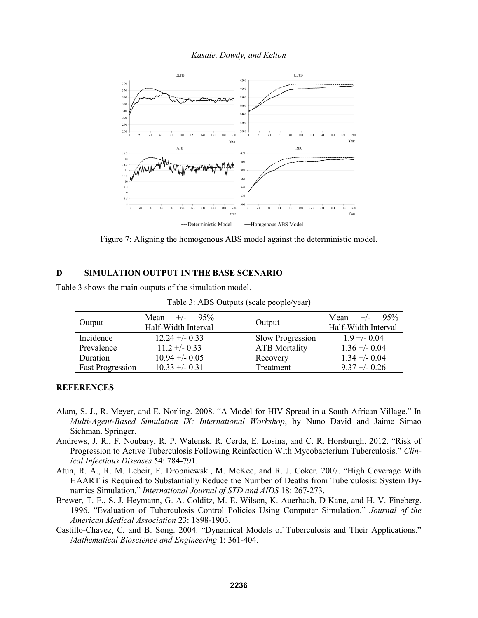



Figure 7: Aligning the homogenous ABS model against the deterministic model.

### **D SIMULATION OUTPUT IN THE BASE SCENARIO**

Table 3 shows the main outputs of the simulation model.

| Output                  | 95%<br>Mean<br>$+/-$<br>Half-Width Interval | Output               | 95%<br>$+/-$<br>Mean<br>Half-Width Interval |
|-------------------------|---------------------------------------------|----------------------|---------------------------------------------|
| Incidence               | $12.24 + -0.33$                             | Slow Progression     | $1.9 + -0.04$                               |
| Prevalence              | $11.2 + -0.33$                              | <b>ATB</b> Mortality | $1.36 + -0.04$                              |
| Duration                | $10.94 + -0.05$                             | Recovery             | $1.34 + -0.04$                              |
| <b>Fast Progression</b> | $10.33 + -0.31$                             | Treatment            | $9.37 + -0.26$                              |

#### **REFERENCES**

- Alam, S. J., R. Meyer, and E. Norling. 2008. "A Model for HIV Spread in a South African Village." In *Multi-Agent-Based Simulation IX: International Workshop*, by Nuno David and Jaime Simao Sichman. Springer.
- Andrews, J. R., F. Noubary, R. P. Walensk, R. Cerda, E. Losina, and C. R. Horsburgh. 2012. "Risk of Progression to Active Tuberculosis Following Reinfection With Mycobacterium Tuberculosis." *Clinical Infectious Diseases* 54: 784-791.
- Atun, R. A., R. M. Lebcir, F. Drobniewski, M. McKee, and R. J. Coker. 2007. "High Coverage With HAART is Required to Substantially Reduce the Number of Deaths from Tuberculosis: System Dynamics Simulation." *International Journal of STD and AIDS* 18: 267-273.
- Brewer, T. F., S. J. Heymann, G. A. Colditz, M. E. Wilson, K. Auerbach, D Kane, and H. V. Fineberg. 1996. "Evaluation of Tuberculosis Control Policies Using Computer Simulation." *Journal of the American Medical Association* 23: 1898-1903.
- Castillo-Chavez, C, and B. Song. 2004. "Dynamical Models of Tuberculosis and Their Applications." *Mathematical Bioscience and Engineering* 1: 361-404.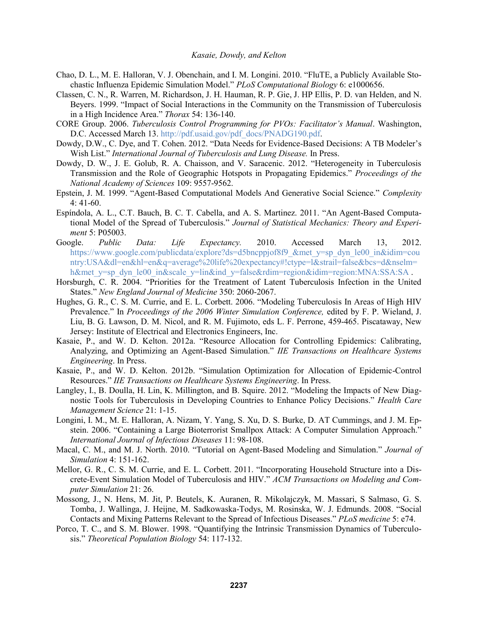- Chao, D. L., M. E. Halloran, V. J. Obenchain, and I. M. Longini. 2010. "FluTE, a Publicly Available Stochastic Influenza Epidemic Simulation Model." *PLoS Computational Biology* 6: e1000656.
- Classen, C. N., R. Warren, M. Richardson, J. H. Hauman, R. P. Gie, J. HP Ellis, P. D. van Helden, and N. Beyers. 1999. "Impact of Social Interactions in the Community on the Transmission of Tuberculosis in a High Incidence Area." *Thorax* 54: 136-140.
- CORE Group. 2006. *Tuberculosis Control Programming for PVOs: Facilitator's Manual*. Washington, D.C. Accessed March 13. http://pdf.usaid.gov/pdf\_docs/PNADG190.pdf.
- Dowdy, D.W., C. Dye, and T. Cohen. 2012. "Data Needs for Evidence-Based Decisions: A TB Modeler's Wish List." *International Journal of Tuberculosis and Lung Disease.* In Press.
- Dowdy, D. W., J. E. Golub, R. A. Chaisson, and V. Saracenic. 2012. "Heterogeneity in Tuberculosis Transmission and the Role of Geographic Hotspots in Propagating Epidemics." *Proceedings of the National Academy of Sciences* 109: 9557-9562.
- Epstein, J. M. 1999. "Agent-Based Computational Models And Generative Social Science." *Complexity* 4: 41-60.
- Espíndola, A. L., C.T. Bauch, B. C. T. Cabella, and A. S. Martinez. 2011. "An Agent-Based Computational Model of the Spread of Tuberculosis." *Journal of Statistical Mechanics: Theory and Experiment* 5: P05003.
- Google. *Public Data: Life Expectancy.* 2010. Accessed March 13, 2012. https://www.google.com/publicdata/explore?ds=d5bncppjof8f9\_&met\_y=sp\_dyn\_le00\_in&idim=cou ntry:USA&dl=en&hl=en&q=average%20life%20expectancy#!ctype=l&strail=false&bcs=d&nselm= h&met\_y=sp\_dyn\_le00\_in&scale\_y=lin&ind\_y=false&rdim=region&idim=region:MNA:SSA:SA
- Horsburgh, C. R. 2004. "Priorities for the Treatment of Latent Tuberculosis Infection in the United States." *New England Journal of Medicine* 350: 2060-2067.
- Hughes, G. R., C. S. M. Currie, and E. L. Corbett. 2006. "Modeling Tuberculosis In Areas of High HIV Prevalence." In *Proceedings of the 2006 Winter Simulation Conference,* edited by F. P. Wieland, J. Liu, B. G. Lawson, D. M. Nicol, and R. M. Fujimoto, eds L. F. Perrone, 459-465. Piscataway, New Jersey: Institute of Electrical and Electronics Engineers, Inc.
- Kasaie, P., and W. D. Kelton. 2012a. "Resource Allocation for Controlling Epidemics: Calibrating, Analyzing, and Optimizing an Agent-Based Simulation." *IIE Transactions on Healthcare Systems Engineering*. In Press.
- Kasaie, P., and W. D. Kelton. 2012b. "Simulation Optimization for Allocation of Epidemic-Control Resources." *IIE Transactions on Healthcare Systems Engineering*. In Press.
- Langley, I., B. Doulla, H. Lin, K. Millington, and B. Squire. 2012. "Modeling the Impacts of New Diagnostic Tools for Tuberculosis in Developing Countries to Enhance Policy Decisions." *Health Care Management Science* 21: 1-15.
- Longini, I. M., M. E. Halloran, A. Nizam, Y. Yang, S. Xu, D. S. Burke, D. AT Cummings, and J. M. Epstein. 2006. "Containing a Large Bioterrorist Smallpox Attack: A Computer Simulation Approach." *International Journal of Infectious Diseases* 11: 98-108.
- Macal, C. M., and M. J. North. 2010. "Tutorial on Agent-Based Modeling and Simulation." *Journal of Simulation* 4: 151-162.
- Mellor, G. R., C. S. M. Currie, and E. L. Corbett. 2011. "Incorporating Household Structure into a Discrete-Event Simulation Model of Tuberculosis and HIV." *ACM Transactions on Modeling and Computer Simulation* 21: 26.
- Mossong, J., N. Hens, M. Jit, P. Beutels, K. Auranen, R. Mikolajczyk, M. Massari, S Salmaso, G. S. Tomba, J. Wallinga, J. Heijne, M. Sadkowaska-Todys, M. Rosinska, W. J. Edmunds. 2008. "Social Contacts and Mixing Patterns Relevant to the Spread of Infectious Diseases." *PLoS medicine* 5: e74.
- Porco, T. C., and S. M. Blower. 1998. "Quantifying the Intrinsic Transmission Dynamics of Tuberculosis." *Theoretical Population Biology* 54: 117-132.